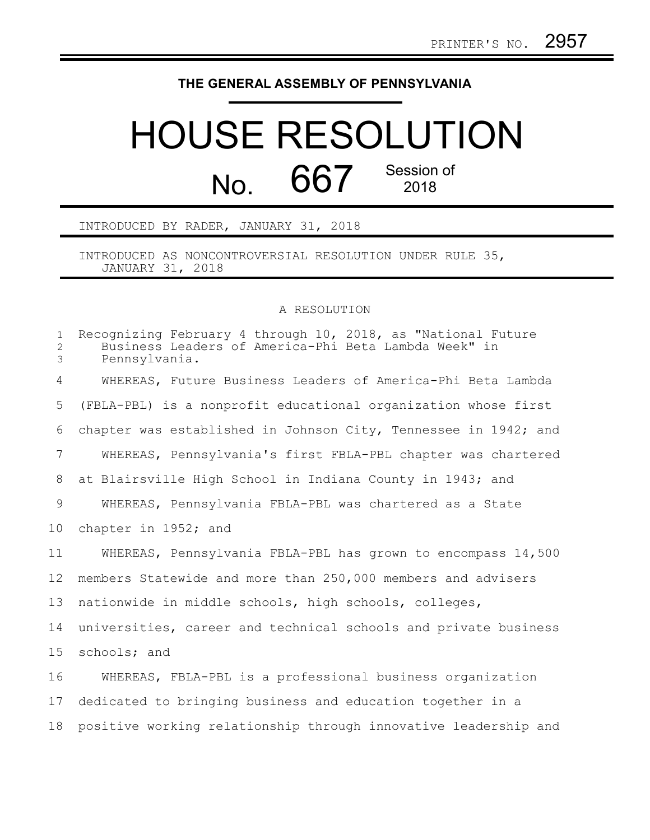## **THE GENERAL ASSEMBLY OF PENNSYLVANIA**

## HOUSE RESOLUTION No. 667 Session of

INTRODUCED BY RADER, JANUARY 31, 2018

INTRODUCED AS NONCONTROVERSIAL RESOLUTION UNDER RULE 35, JANUARY 31, 2018

## A RESOLUTION

| $\mathbf{1}$<br>$\overline{2}$<br>$\mathfrak{Z}$ | Recognizing February 4 through 10, 2018, as "National Future<br>Business Leaders of America-Phi Beta Lambda Week" in<br>Pennsylvania. |
|--------------------------------------------------|---------------------------------------------------------------------------------------------------------------------------------------|
| $\overline{4}$                                   | WHEREAS, Future Business Leaders of America-Phi Beta Lambda                                                                           |
| 5                                                | (FBLA-PBL) is a nonprofit educational organization whose first                                                                        |
| 6                                                | chapter was established in Johnson City, Tennessee in 1942; and                                                                       |
| $7\overline{ }$                                  | WHEREAS, Pennsylvania's first FBLA-PBL chapter was chartered                                                                          |
| 8                                                | at Blairsville High School in Indiana County in 1943; and                                                                             |
| 9                                                | WHEREAS, Pennsylvania FBLA-PBL was chartered as a State                                                                               |
| 10                                               | chapter in 1952; and                                                                                                                  |
| 11                                               | WHEREAS, Pennsylvania FBLA-PBL has grown to encompass 14,500                                                                          |
| 12                                               | members Statewide and more than 250,000 members and advisers                                                                          |
| 13                                               | nationwide in middle schools, high schools, colleges,                                                                                 |
| 14                                               | universities, career and technical schools and private business                                                                       |
| 15                                               | schools; and                                                                                                                          |
| 16                                               | WHEREAS, FBLA-PBL is a professional business organization                                                                             |
| 17                                               | dedicated to bringing business and education together in a                                                                            |
| 18                                               | positive working relationship through innovative leadership and                                                                       |